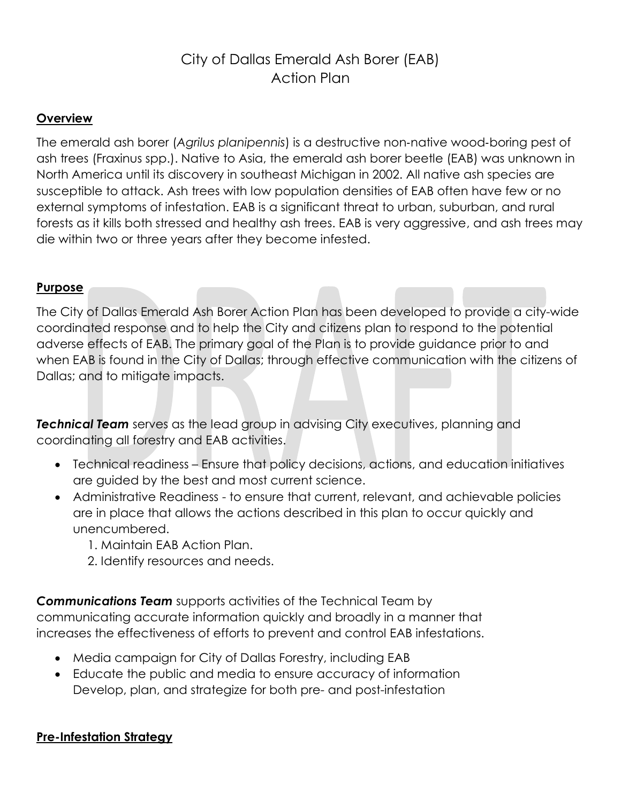# City of Dallas Emerald Ash Borer (EAB) Action Plan

## **Overview**

The emerald ash borer (*Agrilus planipennis*) is a destructive non‐native wood‐boring pest of ash trees (Fraxinus spp.). Native to Asia, the emerald ash borer beetle (EAB) was unknown in North America until its discovery in southeast Michigan in 2002. All native ash species are susceptible to attack. Ash trees with low population densities of EAB often have few or no external symptoms of infestation. EAB is a significant threat to urban, suburban, and rural forests as it kills both stressed and healthy ash trees. EAB is very aggressive, and ash trees may die within two or three years after they become infested.

#### **Purpose**

The City of Dallas Emerald Ash Borer Action Plan has been developed to provide a city-wide coordinated response and to help the City and citizens plan to respond to the potential adverse effects of EAB. The primary goal of the Plan is to provide guidance prior to and when EAB is found in the City of Dallas; through effective communication with the citizens of Dallas; and to mitigate impacts.

**Technical Team** serves as the lead group in advising City executives, planning and coordinating all forestry and EAB activities.

- Technical readiness Ensure that policy decisions, actions, and education initiatives are guided by the best and most current science.
- Administrative Readiness to ensure that current, relevant, and achievable policies are in place that allows the actions described in this plan to occur quickly and unencumbered.
	- 1. Maintain EAB Action Plan.
	- 2. Identify resources and needs.

*Communications Team* supports activities of the Technical Team by communicating accurate information quickly and broadly in a manner that increases the effectiveness of efforts to prevent and control EAB infestations.

- Media campaign for City of Dallas Forestry, including EAB
- Educate the public and media to ensure accuracy of information Develop, plan, and strategize for both pre- and post-infestation

## **Pre-Infestation Strategy**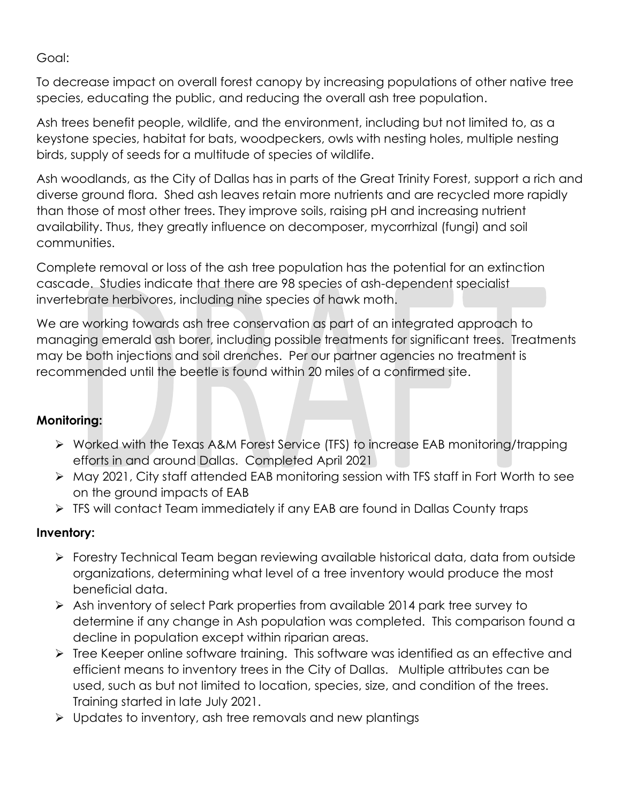Goal:

To decrease impact on overall forest canopy by increasing populations of other native tree species, educating the public, and reducing the overall ash tree population.

Ash trees benefit people, wildlife, and the environment, including but not limited to, as a keystone species, habitat for bats, woodpeckers, owls with nesting holes, multiple nesting birds, supply of seeds for a multitude of species of wildlife.

Ash woodlands, as the City of Dallas has in parts of the Great Trinity Forest, support a rich and diverse ground flora. Shed ash leaves retain more nutrients and are recycled more rapidly than those of most other trees. They improve soils, raising pH and increasing nutrient availability. Thus, they greatly influence on decomposer, mycorrhizal (fungi) and soil communities.

Complete removal or loss of the ash tree population has the potential for an extinction cascade. Studies indicate that there are 98 species of ash-dependent specialist invertebrate herbivores, including nine species of hawk moth.

We are working towards ash tree conservation as part of an integrated approach to managing emerald ash borer, including possible treatments for significant trees. Treatments may be both injections and soil drenches. Per our partner agencies no treatment is recommended until the beetle is found within 20 miles of a confirmed site.

## **Monitoring:**

- ➢ Worked with the Texas A&M Forest Service (TFS) to increase EAB monitoring/trapping efforts in and around Dallas. Completed April 2021
- ➢ May 2021, City staff attended EAB monitoring session with TFS staff in Fort Worth to see on the ground impacts of EAB
- ➢ TFS will contact Team immediately if any EAB are found in Dallas County traps

## **Inventory:**

- ➢ Forestry Technical Team began reviewing available historical data, data from outside organizations, determining what level of a tree inventory would produce the most beneficial data.
- ➢ Ash inventory of select Park properties from available 2014 park tree survey to determine if any change in Ash population was completed. This comparison found a decline in population except within riparian areas.
- ➢ Tree Keeper online software training. This software was identified as an effective and efficient means to inventory trees in the City of Dallas. Multiple attributes can be used, such as but not limited to location, species, size, and condition of the trees. Training started in late July 2021.
- ➢ Updates to inventory, ash tree removals and new plantings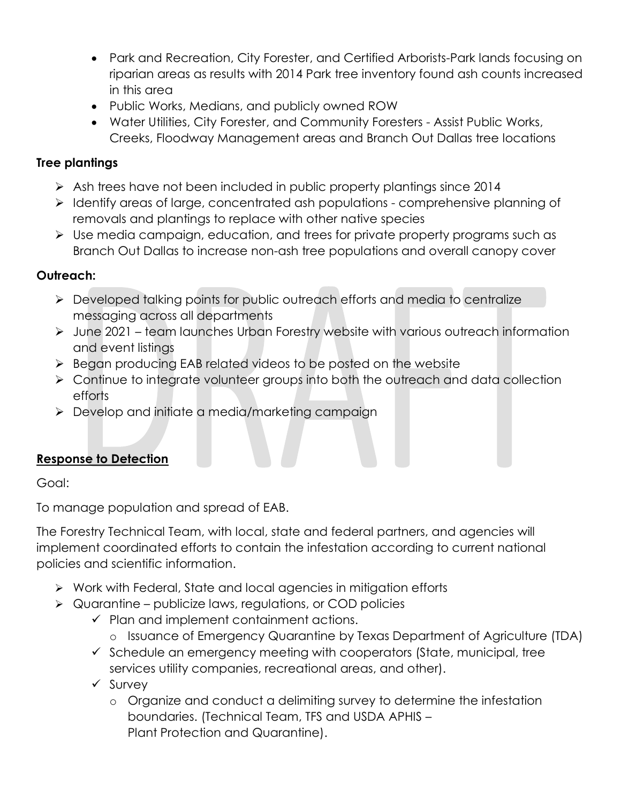- Park and Recreation, City Forester, and Certified Arborists-Park lands focusing on riparian areas as results with 2014 Park tree inventory found ash counts increased in this area
- Public Works, Medians, and publicly owned ROW
- Water Utilities, City Forester, and Community Foresters Assist Public Works, Creeks, Floodway Management areas and Branch Out Dallas tree locations

## **Tree plantings**

- ➢ Ash trees have not been included in public property plantings since 2014
- ➢ Identify areas of large, concentrated ash populations comprehensive planning of removals and plantings to replace with other native species
- ➢ Use media campaign, education, and trees for private property programs such as Branch Out Dallas to increase non-ash tree populations and overall canopy cover

## **Outreach:**

- ➢ Developed talking points for public outreach efforts and media to centralize messaging across all departments
- ➢ June 2021 team launches Urban Forestry website with various outreach information and event listings
- ➢ Began producing EAB related videos to be posted on the website
- ➢ Continue to integrate volunteer groups into both the outreach and data collection efforts
- ➢ Develop and initiate a media/marketing campaign

## **Response to Detection**

Goal:

To manage population and spread of EAB.

The Forestry Technical Team, with local, state and federal partners, and agencies will implement coordinated efforts to contain the infestation according to current national policies and scientific information.

- ➢ Work with Federal, State and local agencies in mitigation efforts
- $\triangleright$  Quarantine publicize laws, regulations, or COD policies
	- $\checkmark$  Plan and implement containment actions.
		- o Issuance of Emergency Quarantine by Texas Department of Agriculture (TDA)
	- $\checkmark$  Schedule an emergency meeting with cooperators (State, municipal, tree services utility companies, recreational areas, and other).
	- ✓ Survey
		- o Organize and conduct a delimiting survey to determine the infestation boundaries. (Technical Team, TFS and USDA APHIS – Plant Protection and Quarantine).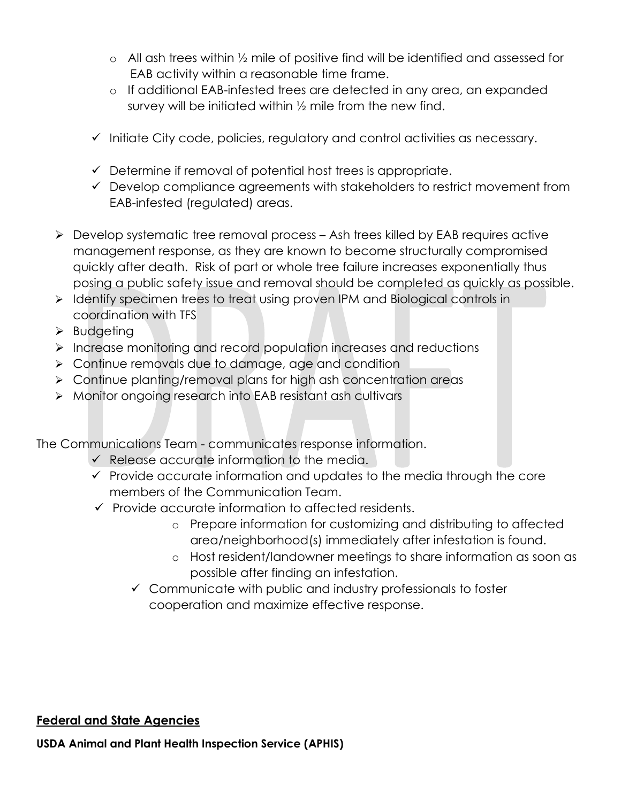- o All ash trees within ½ mile of positive find will be identified and assessed for EAB activity within a reasonable time frame.
- o If additional EAB-infested trees are detected in any area, an expanded survey will be initiated within ½ mile from the new find.
- ✓ Initiate City code, policies, regulatory and control activities as necessary.
- $\checkmark$  Determine if removal of potential host trees is appropriate.
- ✓ Develop compliance agreements with stakeholders to restrict movement from EAB-infested (regulated) areas.
- ➢ Develop systematic tree removal process Ash trees killed by EAB requires active management response, as they are known to become structurally compromised quickly after death. Risk of part or whole tree failure increases exponentially thus posing a public safety issue and removal should be completed as quickly as possible.
- ➢ Identify specimen trees to treat using proven IPM and Biological controls in coordination with TFS
- ➢ Budgeting
- ➢ Increase monitoring and record population increases and reductions
- ➢ Continue removals due to damage, age and condition
- ➢ Continue planting/removal plans for high ash concentration areas
- ➢ Monitor ongoing research into EAB resistant ash cultivars

The Communications Team - communicates response information.

- $\checkmark$  Release accurate information to the media.
- $\checkmark$  Provide accurate information and updates to the media through the core members of the Communication Team.
- ✓ Provide accurate information to affected residents.
	- o Prepare information for customizing and distributing to affected area/neighborhood(s) immediately after infestation is found.
	- o Host resident/landowner meetings to share information as soon as possible after finding an infestation.
	- ✓ Communicate with public and industry professionals to foster cooperation and maximize effective response.

## **Federal and State Agencies**

**USDA Animal and Plant Health Inspection Service (APHIS)**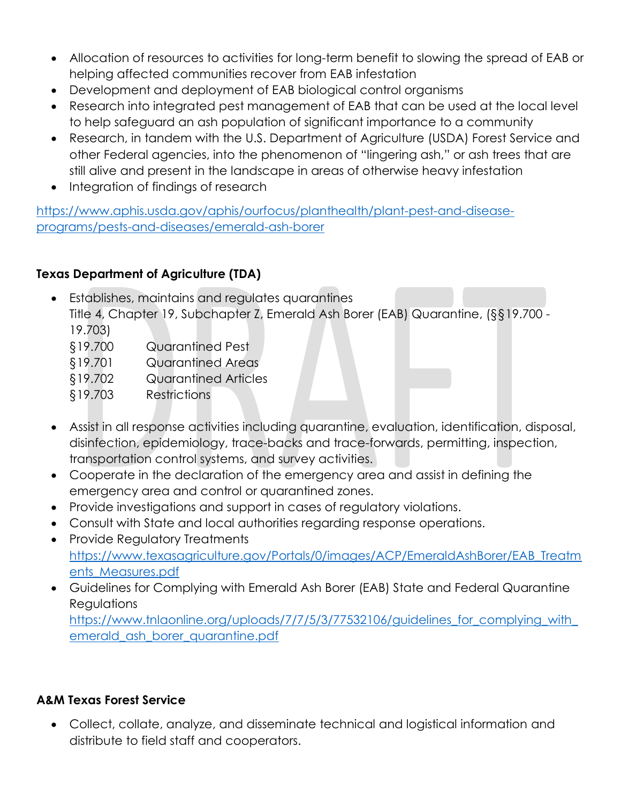- Allocation of resources to activities for long-term benefit to slowing the spread of EAB or helping affected communities recover from EAB infestation
- Development and deployment of EAB biological control organisms
- Research into integrated pest management of EAB that can be used at the local level to help safeguard an ash population of significant importance to a community
- Research, in tandem with the U.S. Department of Agriculture (USDA) Forest Service and other Federal agencies, into the phenomenon of "lingering ash," or ash trees that are still alive and present in the landscape in areas of otherwise heavy infestation
- Integration of findings of research

[https://www.aphis.usda.gov/aphis/ourfocus/planthealth/plant-pest-and-disease](https://www.aphis.usda.gov/aphis/ourfocus/planthealth/plant-pest-and-disease-programs/pests-and-diseases/emerald-ash-borer)[programs/pests-and-diseases/emerald-ash-borer](https://www.aphis.usda.gov/aphis/ourfocus/planthealth/plant-pest-and-disease-programs/pests-and-diseases/emerald-ash-borer) 

## **Texas Department of Agriculture (TDA)**

• Establishes, maintains and regulates quarantines

Title 4, Chapter 19, Subchapter Z, Emerald Ash Borer (EAB) Quarantine, (§§19.700 - 19.703)

- §19.700 Quarantined Pest
- §19.701 Quarantined Areas
- §19.702 Quarantined Articles
- §19.703 Restrictions
- Assist in all response activities including quarantine, evaluation, identification, disposal, disinfection, epidemiology, trace-backs and trace-forwards, permitting, inspection, transportation control systems, and survey activities.
- Cooperate in the declaration of the emergency area and assist in defining the emergency area and control or quarantined zones.
- Provide investigations and support in cases of regulatory violations.
- Consult with State and local authorities regarding response operations.
- Provide Regulatory Treatments [https://www.texasagriculture.gov/Portals/0/images/ACP/EmeraldAshBorer/EAB\\_Treatm](https://www.texasagriculture.gov/Portals/0/images/ACP/EmeraldAshBorer/EAB_Treatments_Measures.pdf) [ents\\_Measures.pdf](https://www.texasagriculture.gov/Portals/0/images/ACP/EmeraldAshBorer/EAB_Treatments_Measures.pdf)
- Guidelines for Complying with Emerald Ash Borer (EAB) State and Federal Quarantine **Regulations**

[https://www.tnlaonline.org/uploads/7/7/5/3/77532106/guidelines\\_for\\_complying\\_with\\_](https://www.tnlaonline.org/uploads/7/7/5/3/77532106/guidelines_for_complying_with_emerald_ash_borer_quarantine.pdf) [emerald\\_ash\\_borer\\_quarantine.pdf](https://www.tnlaonline.org/uploads/7/7/5/3/77532106/guidelines_for_complying_with_emerald_ash_borer_quarantine.pdf)

## **A&M Texas Forest Service**

• Collect, collate, analyze, and disseminate technical and logistical information and distribute to field staff and cooperators.